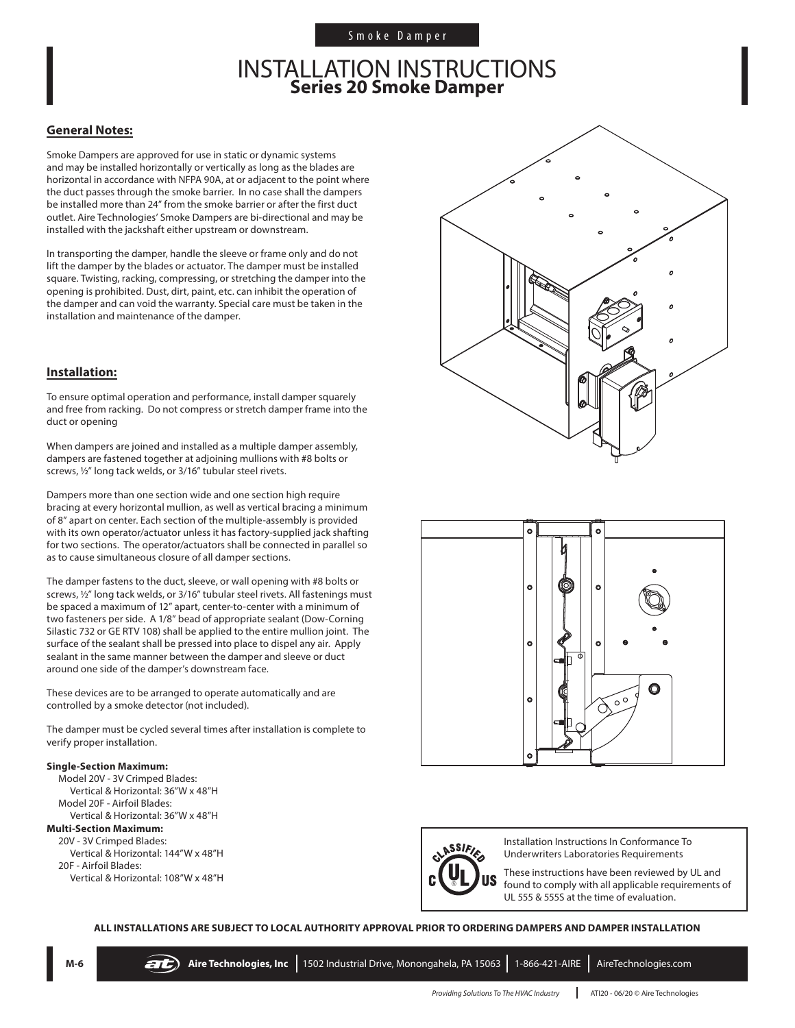# INSTALLATION INSTRUCTIONS **Series 20 Smoke Damper**

### **General Notes:**

Smoke Dampers are approved for use in static or dynamic systems and may be installed horizontally or vertically as long as the blades are horizontal in accordance with NFPA 90A, at or adjacent to the point where the duct passes through the smoke barrier. In no case shall the dampers be installed more than 24" from the smoke barrier or after the first duct outlet. Aire Technologies' Smoke Dampers are bi-directional and may be installed with the jackshaft either upstream or downstream.

In transporting the damper, handle the sleeve or frame only and do not lift the damper by the blades or actuator. The damper must be installed square. Twisting, racking, compressing, or stretching the damper into the opening is prohibited. Dust, dirt, paint, etc. can inhibit the operation of the damper and can void the warranty. Special care must be taken in the installation and maintenance of the damper.

### **Installation:**

To ensure optimal operation and performance, install damper squarely and free from racking. Do not compress or stretch damper frame into the duct or opening

When dampers are joined and installed as a multiple damper assembly, dampers are fastened together at adjoining mullions with #8 bolts or screws, ½" long tack welds, or 3/16" tubular steel rivets.

Dampers more than one section wide and one section high require bracing at every horizontal mullion, as well as vertical bracing a minimum of 8" apart on center. Each section of the multiple-assembly is provided with its own operator/actuator unless it has factory-supplied jack shafting for two sections. The operator/actuators shall be connected in parallel so as to cause simultaneous closure of all damper sections.

The damper fastens to the duct, sleeve, or wall opening with #8 bolts or screws, ½" long tack welds, or 3/16" tubular steel rivets. All fastenings must be spaced a maximum of 12" apart, center-to-center with a minimum of two fasteners per side. A 1/8" bead of appropriate sealant (Dow-Corning Silastic 732 or GE RTV 108) shall be applied to the entire mullion joint. The surface of the sealant shall be pressed into place to dispel any air. Apply sealant in the same manner between the damper and sleeve or duct around one side of the damper's downstream face.

These devices are to be arranged to operate automatically and are controlled by a smoke detector (not included).

The damper must be cycled several times after installation is complete to verify proper installation.

#### **Single-Section Maximum:**

Model 20V - 3V Crimped Blades: Vertical & Horizontal: 36"W x 48"H Model 20F - Airfoil Blades: Vertical & Horizontal: 36"W x 48"H **Multi-Section Maximum:** 20V - 3V Crimped Blades: Vertical & Horizontal: 144"W x 48"H 20F - Airfoil Blades: Vertical & Horizontal: 108"W x 48"H







Installation Instructions In Conformance To Underwriters Laboratories Requirements

These instructions have been reviewed by UL and found to comply with all applicable requirements of UL 555 & 555S at the time of evaluation.

**ALL INSTALLATIONS ARE SUBJECT TO LOCAL AUTHORITY APPROVAL PRIOR TO ORDERING DAMPERS AND DAMPER INSTALLATION**